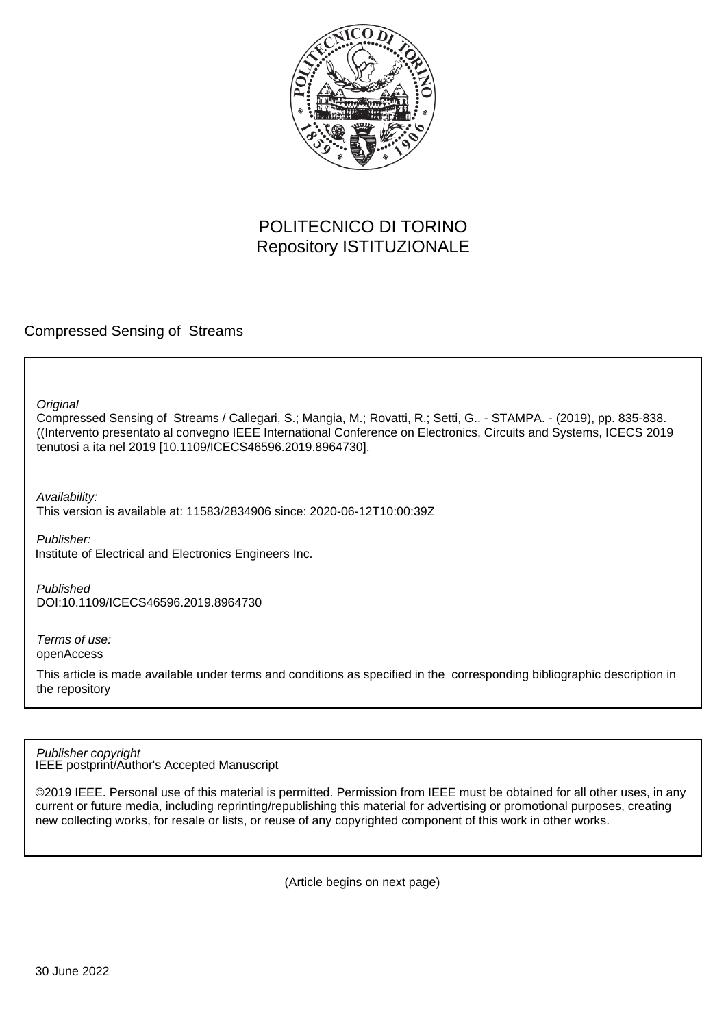

# POLITECNICO DI TORINO Repository ISTITUZIONALE

Compressed Sensing of Streams

**Original** 

Compressed Sensing of Streams / Callegari, S.; Mangia, M.; Rovatti, R.; Setti, G.. - STAMPA. - (2019), pp. 835-838. ((Intervento presentato al convegno IEEE International Conference on Electronics, Circuits and Systems, ICECS 2019 tenutosi a ita nel 2019 [10.1109/ICECS46596.2019.8964730].

Availability:

This version is available at: 11583/2834906 since: 2020-06-12T10:00:39Z

Publisher: Institute of Electrical and Electronics Engineers Inc.

Published DOI:10.1109/ICECS46596.2019.8964730

Terms of use: openAccess

This article is made available under terms and conditions as specified in the corresponding bibliographic description in the repository

IEEE postprint/Author's Accepted Manuscript Publisher copyright

©2019 IEEE. Personal use of this material is permitted. Permission from IEEE must be obtained for all other uses, in any current or future media, including reprinting/republishing this material for advertising or promotional purposes, creating new collecting works, for resale or lists, or reuse of any copyrighted component of this work in other works.

(Article begins on next page)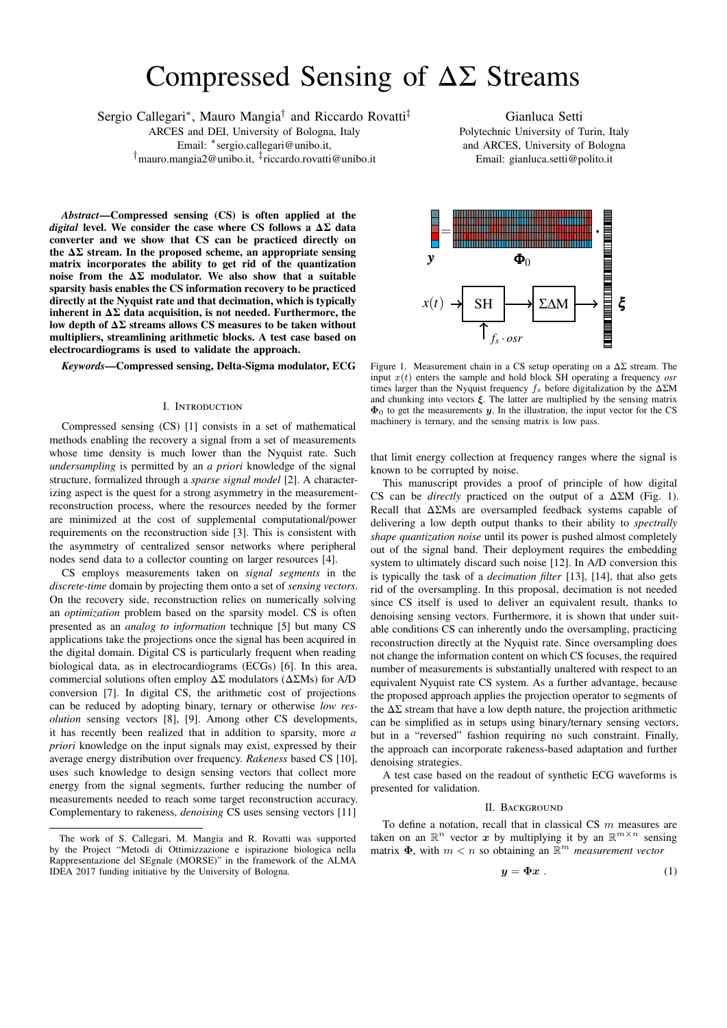# Compressed Sensing of ΔΣ Streams

Sergio Callegari<sup>∗</sup>, Mauro Mangia<sup>†</sup> and Riccardo Rovatti<sup>‡</sup>

ARCES and DEI, University of Bologna, Italy Email: <sup>∗</sup> [sergio.callegari@unibo.it,](mailto:sergio.callegari@unibo.it) †[mauro.mangia2@unibo.it,](mailto:mauro.mangia2@unibo.it) ‡ [riccardo.rovatti@unibo.it](mailto:riccardo.rovatti@unibo.it)

*Abstract***—Compressed sensing (CS) is often applied at the** *digital* **level. We consider the case where CS follows a ΔΣ data converter and we show that CS can be practiced directly on the ΔΣ stream. In the proposed scheme, an appropriate sensing matrix incorporates the ability to get rid of the quantization noise from the ΔΣ modulator. We also show that a suitable sparsity basis enables the CS information recovery to be practiced directly at the Nyquist rate and that decimation, which is typically inherent in ΔΣ data acquisition, is not needed. Furthermore, the low depth of ΔΣ streams allows CS measures to be taken without multipliers, streamlining arithmetic blocks. A test case based on electrocardiograms is used to validate the approach.**

## *Keywords***—Compressed sensing, Delta-Sigma modulator, ECG**

#### I. Introduction

Compressed sensing (CS) [1] consists in a set of mathematical methods enabling the recovery a signal from a set of measurements whose time density is much lower than the Nyquist rate. Such *undersampling* is permitted by an *a priori* knowledge of the signal structure, formalized through a *sparse signal model* [2]. A characterizing aspect is the quest for a strong asymmetry in the measurementreconstruction process, where the resources needed by the former are minimized at the cost of supplemental computational/power requirements on the reconstruction side [3]. This is consistent with the asymmetry of centralized sensor networks where peripheral nodes send data to a collector counting on larger resources [4].

CS employs measurements taken on *signal segments* in the *discrete-time* domain by projecting them onto a set of *sensing vectors*. On the recovery side, reconstruction relies on numerically solving an *optimization* problem based on the sparsity model. CS is often presented as an *analog to information* technique [5] but many CS applications take the projections once the signal has been acquired in the digital domain. Digital CS is particularly frequent when reading biological data, as in electrocardiograms (ECGs) [6]. In this area, commercial solutions often employ  $\Delta\Sigma$  modulators ( $\Delta\Sigma$ Ms) for A/D conversion [7]. In digital CS, the arithmetic cost of projections can be reduced by adopting binary, ternary or otherwise *low resolution* sensing vectors [8], [9]. Among other CS developments, it has recently been realized that in addition to sparsity, more *a priori* knowledge on the input signals may exist, expressed by their average energy distribution over frequency. *Rakeness* based CS [10], uses such knowledge to design sensing vectors that collect more energy from the signal segments, further reducing the number of measurements needed to reach some target reconstruction accuracy. Complementary to rakeness, *denoising* CS uses sensing vectors [11]

Gianluca Setti Polytechnic University of Turin, Italy and ARCES, University of Bologna Email: [gianluca.setti@polito.it](mailto:gianluca.setti@polito.it)



Figure 1. Measurement chain in a CS setup operating on a  $\Delta\Sigma$  stream. The input  $x(t)$  enters the sample and hold block SH operating a frequency *osr* times larger than the Nyquist frequency  $f_s$  before digitalization by the  $\Delta\Sigma M$ and chunking into vectors  $\xi$ . The latter are multiplied by the sensing matrix  $\Phi_0$  to get the measurements y. In the illustration, the input vector for the CS machinery is ternary, and the sensing matrix is low pass.

that limit energy collection at frequency ranges where the signal is known to be corrupted by noise.

This manuscript provides a proof of principle of how digital CS can be *directly* practiced on the output of a  $\Delta \Sigma M$  (Fig. 1). Recall that ΔΣMs are oversampled feedback systems capable of delivering a low depth output thanks to their ability to *spectrally shape quantization noise* until its power is pushed almost completely out of the signal band. Their deployment requires the embedding system to ultimately discard such noise [12]. In A/D conversion this is typically the task of a *decimation filter* [13], [14], that also gets rid of the oversampling. In this proposal, decimation is not needed since CS itself is used to deliver an equivalent result, thanks to denoising sensing vectors. Furthermore, it is shown that under suitable conditions CS can inherently undo the oversampling, practicing reconstruction directly at the Nyquist rate. Since oversampling does not change the information content on which CS focuses, the required number of measurements is substantially unaltered with respect to an equivalent Nyquist rate CS system. As a further advantage, because the proposed approach applies the projection operator to segments of the  $\Delta\Sigma$  stream that have a low depth nature, the projection arithmetic can be simplified as in setups using binary/ternary sensing vectors, but in a "reversed" fashion requiring no such constraint. Finally, the approach can incorporate rakeness-based adaptation and further denoising strategies.

A test case based on the readout of synthetic ECG waveforms is presented for validation.

#### II. BACKGROUND

To define a notation, recall that in classical CS  $m$  measures are taken on an  $\mathbb{R}^n$  vector x by multiplying it by an  $\mathbb{R}^{m \times n}$  sensing matrix  $\Phi$ , with  $m < n$  so obtaining an  $\mathbb{R}^m$  *measurement vector* 

$$
y = \Phi x \tag{1}
$$

The work of S. Callegari, M. Mangia and R. Rovatti was supported by the Project "Metodi di Ottimizzazione e ispirazione biologica nella Rappresentazione del SEgnale (MORSE)" in the framework of the ALMA IDEA 2017 funding initiative by the University of Bologna.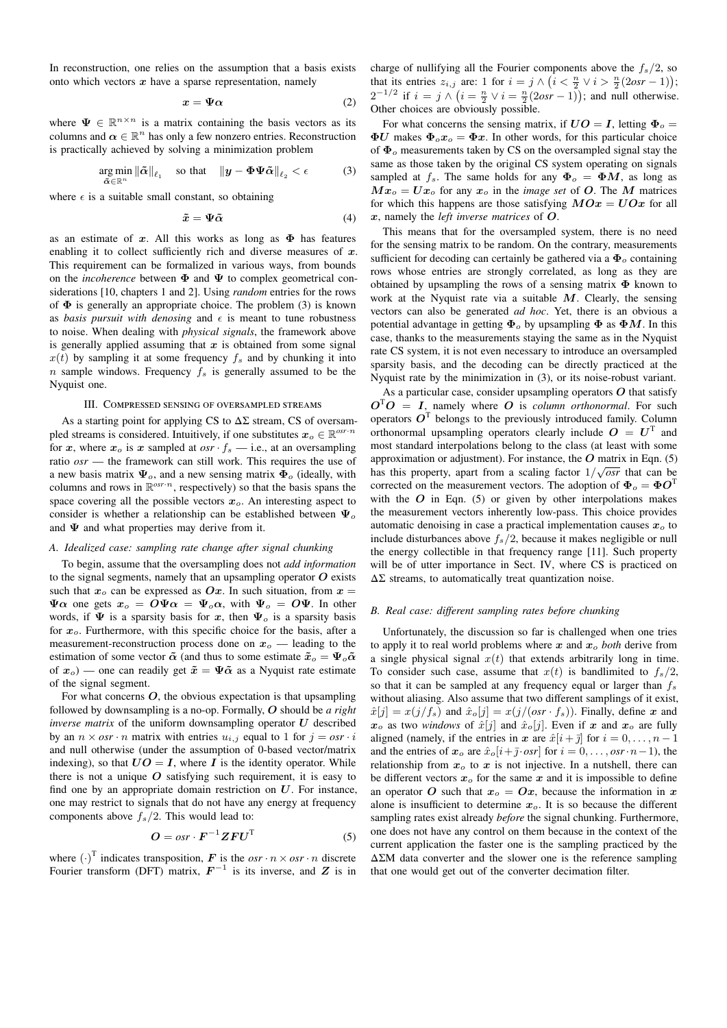In reconstruction, one relies on the assumption that a basis exists onto which vectors  $x$  have a sparse representation, namely

$$
x = \Psi \alpha \tag{2}
$$

where  $\Psi \in \mathbb{R}^{n \times n}$  is a matrix containing the basis vectors as its columns and  $\alpha \in \mathbb{R}^n$  has only a few nonzero entries. Reconstruction is practically achieved by solving a minimization problem

$$
\underset{\tilde{\alpha}\in\mathbb{R}^n}{\arg\min} \left\|\tilde{\alpha}\right\|_{\ell_1} \quad \text{so that} \quad \left\|\boldsymbol{y} - \boldsymbol{\Phi}\boldsymbol{\Psi}\tilde{\alpha}\right\|_{\ell_2} < \epsilon \tag{3}
$$

where  $\epsilon$  is a suitable small constant, so obtaining

$$
\tilde{x} = \Psi \tilde{\alpha} \tag{4}
$$

as an estimate of  $x$ . All this works as long as  $\Phi$  has features enabling it to collect sufficiently rich and diverse measures of  $x$ . This requirement can be formalized in various ways, from bounds on the *incoherence* between Φ and Ψ to complex geometrical considerations [10, chapters 1 and 2]. Using *random* entries for the rows of  $\Phi$  is generally an appropriate choice. The problem (3) is known as *basis pursuit with denosing* and  $\epsilon$  is meant to tune robustness to noise. When dealing with *physical signals*, the framework above is generally applied assuming that  $x$  is obtained from some signal  $x(t)$  by sampling it at some frequency  $f_s$  and by chunking it into n sample windows. Frequency  $f_s$  is generally assumed to be the Nyquist one.

# III. Compressed sensing of oversampled streams

As a starting point for applying CS to  $\Delta\Sigma$  stream, CS of oversampled streams is considered. Intuitively, if one substitutes  $x_o \in \mathbb{R}^{osr \cdot n}$ for x, where  $x_o$  is x sampled at  $osr \cdot f_s$  — i.e., at an oversampling ratio *osr* — the framework can still work. This requires the use of a new basis matrix  $\Psi_o$ , and a new sensing matrix  $\Phi_o$  (ideally, with columns and rows in  $\mathbb{R}^{\text{osr-}n}$ , respectively) so that the basis spans the space covering all the possible vectors  $x<sub>o</sub>$ . An interesting aspect to consider is whether a relationship can be established between  $\Psi_o$ and  $\Psi$  and what properties may derive from it.

### *A. Idealized case: sampling rate change after signal chunking*

To begin, assume that the oversampling does not *add information* to the signal segments, namely that an upsampling operator  $O$  exists such that  $x_0$  can be expressed as Ox. In such situation, from  $x =$  $\Psi \alpha$  one gets  $x_0 = O \Psi \alpha = \Psi_o \alpha$ , with  $\Psi_o = O \Psi$ . In other words, if  $\Psi$  is a sparsity basis for x, then  $\Psi_o$  is a sparsity basis for  $x<sub>o</sub>$ . Furthermore, with this specific choice for the basis, after a measurement-reconstruction process done on  $x_0$  — leading to the estimation of some vector  $\tilde{\alpha}$  (and thus to some estimate  $\tilde{x}_o = \Psi_o \tilde{\alpha}$ of  $x_o$ ) — one can readily get  $\tilde{x} = \Psi \tilde{\alpha}$  as a Nyquist rate estimate of the signal segment.

For what concerns  $O$ , the obvious expectation is that upsampling followed by downsampling is a no-op. Formally, O should be *a right inverse matrix* of the uniform downsampling operator  $U$  described by an  $n \times osr \cdot n$  matrix with entries  $u_{i,j}$  equal to 1 for  $j = osr \cdot i$ and null otherwise (under the assumption of 0-based vector/matrix indexing), so that  $UO = I$ , where I is the identity operator. While there is not a unique  $O$  satisfying such requirement, it is easy to find one by an appropriate domain restriction on  $U$ . For instance, one may restrict to signals that do not have any energy at frequency components above  $f_s/2$ . This would lead to:

$$
O = osr \cdot F^{-1}ZFU^{T}
$$
 (5)

where  $(\cdot)^T$  indicates transposition, F is the *osr*  $\cdot n \times \textit{osr} \cdot n$  discrete Fourier transform (DFT) matrix,  $F^{-1}$  is its inverse, and Z is in charge of nullifying all the Fourier components above the  $f_s/2$ , so that its entries  $z_{i,j}$  are: 1 for  $i = j \wedge (i \leq \frac{n}{2} \vee i > \frac{n}{2}(2osr - 1));$  $2^{-1/2}$  if  $i = j \wedge (i = \frac{n}{2} \vee i = \frac{n}{2}(2osr - 1))$ ; and null otherwise. Other choices are obviously possible.

For what concerns the sensing matrix, if  $UO = I$ , letting  $\Phi_o =$  $\Phi U$  makes  $\Phi_0 x_o = \Phi x$ . In other words, for this particular choice of  $\Phi$ <sub>o</sub> measurements taken by CS on the oversampled signal stay the same as those taken by the original CS system operating on signals sampled at  $f_s$ . The same holds for any  $\Phi_o = \Phi M$ , as long as  $Mx_0 = Ux_0$  for any  $x_0$  in the *image set* of O. The M matrices for which this happens are those satisfying  $MOx = UOx$  for all x, namely the *left inverse matrices* of O.

This means that for the oversampled system, there is no need for the sensing matrix to be random. On the contrary, measurements sufficient for decoding can certainly be gathered via a  $\Phi_o$  containing rows whose entries are strongly correlated, as long as they are obtained by upsampling the rows of a sensing matrix  $\Phi$  known to work at the Nyquist rate via a suitable  $M$ . Clearly, the sensing vectors can also be generated *ad hoc*. Yet, there is an obvious a potential advantage in getting  $\Phi_o$  by upsampling  $\Phi$  as  $\Phi M$ . In this case, thanks to the measurements staying the same as in the Nyquist rate CS system, it is not even necessary to introduce an oversampled sparsity basis, and the decoding can be directly practiced at the Nyquist rate by the minimization in (3), or its noise-robust variant.

As a particular case, consider upsampling operators  $O$  that satisfy  $O^TO = I$ , namely where O is *column orthonormal*. For such operators  $O<sup>T</sup>$  belongs to the previously introduced family. Column orthonormal upsampling operators clearly include  $O = U<sup>T</sup>$  and most standard interpolations belong to the class (at least with some approximation or adjustment). For instance, the  $O$  matrix in Eqn. (5) approximation of adjustment). For instance, the  $\sigma$  matrix in Eqn. (5) has this property, apart from a scaling factor  $1/\sqrt{osr}$  that can be corrected on the measurement vectors. The adoption of  $\Phi_o = \Phi O^{\text{T}}$ with the  $O$  in Eqn. (5) or given by other interpolations makes the measurement vectors inherently low-pass. This choice provides automatic denoising in case a practical implementation causes  $x<sub>o</sub>$  to include disturbances above  $f_s/2$ , because it makes negligible or null the energy collectible in that frequency range [11]. Such property will be of utter importance in Sect. IV, where CS is practiced on  $\Delta\Sigma$  streams, to automatically treat quantization noise.

#### *B. Real case: different sampling rates before chunking*

Unfortunately, the discussion so far is challenged when one tries to apply it to real world problems where  $x$  and  $x_o$  *both* derive from a single physical signal  $x(t)$  that extends arbitrarily long in time. To consider such case, assume that  $x(t)$  is bandlimited to  $f_s/2$ , so that it can be sampled at any frequency equal or larger than  $f_s$ without aliasing. Also assume that two different samplings of it exist,  $\hat{x}[j] = x(j/f_s)$  and  $\hat{x}_o[j] = x(j/(osr \cdot f_s))$ . Finally, define x and  $x_o$  as two *windows* of  $\hat{x}[j]$  and  $\hat{x}_o[j]$ . Even if x and  $x_o$  are fully aligned (namely, if the entries in x are  $\hat{x}[i + \bar{j}]$  for  $i = 0, \ldots, n - 1$ and the entries of  $x_o$  are  $\hat{x}_o[i+\bar{j}\cdot osr]$  for  $i = 0, \ldots, osr\cdot n-1$ , the relationship from  $x_0$  to x is not injective. In a nutshell, there can be different vectors  $x<sub>o</sub>$  for the same x and it is impossible to define an operator O such that  $x_0 = 0x$ , because the information in x alone is insufficient to determine  $x<sub>o</sub>$ . It is so because the different sampling rates exist already *before* the signal chunking. Furthermore, one does not have any control on them because in the context of the current application the faster one is the sampling practiced by the ΔΣM data converter and the slower one is the reference sampling that one would get out of the converter decimation filter.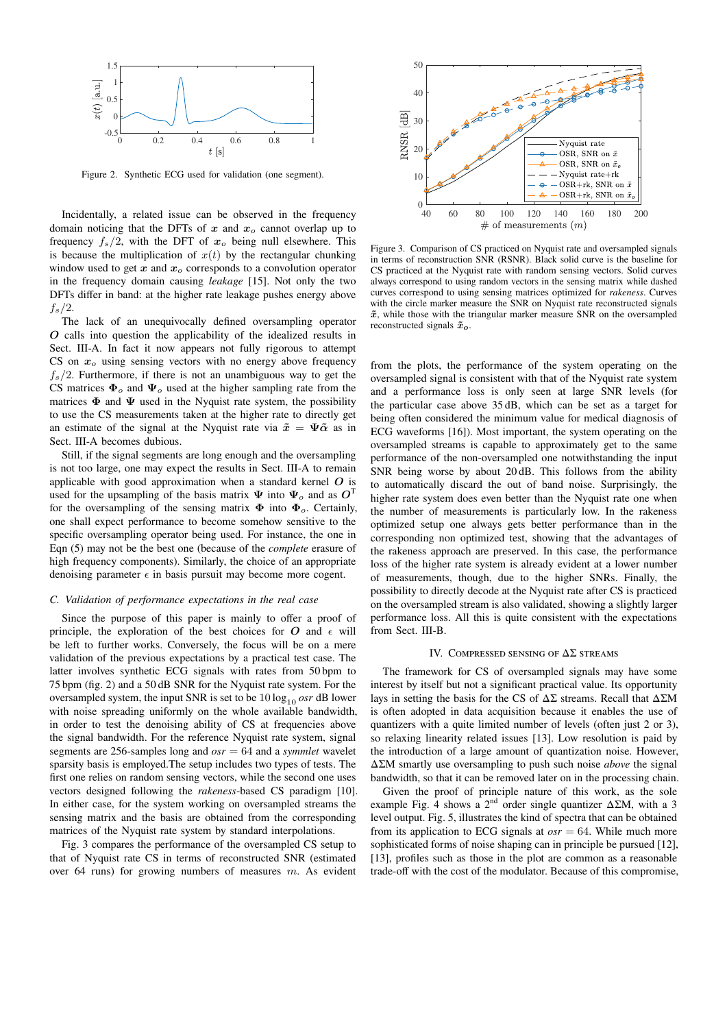

Figure 2. Synthetic ECG used for validation (one segment).

Incidentally, a related issue can be observed in the frequency domain noticing that the DFTs of x and  $x_0$  cannot overlap up to frequency  $f_s/2$ , with the DFT of  $x_o$  being null elsewhere. This is because the multiplication of  $x(t)$  by the rectangular chunking window used to get  $x$  and  $x<sub>o</sub>$  corresponds to a convolution operator in the frequency domain causing *leakage* [15]. Not only the two DFTs differ in band: at the higher rate leakage pushes energy above  $f_s/2$ .

The lack of an unequivocally defined oversampling operator O calls into question the applicability of the idealized results in Sect. III-A. In fact it now appears not fully rigorous to attempt CS on  $x<sub>o</sub>$  using sensing vectors with no energy above frequency  $f_s/2$ . Furthermore, if there is not an unambiguous way to get the CS matrices  $\Phi_o$  and  $\Psi_o$  used at the higher sampling rate from the matrices  $\Phi$  and  $\Psi$  used in the Nyquist rate system, the possibility to use the CS measurements taken at the higher rate to directly get an estimate of the signal at the Nyquist rate via  $\tilde{x} = \Psi \tilde{\alpha}$  as in Sect. III-A becomes dubious.

Still, if the signal segments are long enough and the oversampling is not too large, one may expect the results in Sect. III-A to remain applicable with good approximation when a standard kernel  $O$  is used for the upsampling of the basis matrix  $\Psi$  into  $\Psi_o$  and as  $O^T$ for the oversampling of the sensing matrix  $\Phi$  into  $\Phi_o$ . Certainly, one shall expect performance to become somehow sensitive to the specific oversampling operator being used. For instance, the one in Eqn (5) may not be the best one (because of the *complete* erasure of high frequency components). Similarly, the choice of an appropriate denoising parameter  $\epsilon$  in basis pursuit may become more cogent.

#### *C. Validation of performance expectations in the real case*

Since the purpose of this paper is mainly to offer a proof of principle, the exploration of the best choices for  $O$  and  $\epsilon$  will be left to further works. Conversely, the focus will be on a mere validation of the previous expectations by a practical test case. The latter involves synthetic ECG signals with rates from 50 bpm to 75 bpm (fig. 2) and a 50 dB SNR for the Nyquist rate system. For the oversampled system, the input SNR is set to be  $10 \log_{10} \text{osr}$  dB lower with noise spreading uniformly on the whole available bandwidth, in order to test the denoising ability of CS at frequencies above the signal bandwidth. For the reference Nyquist rate system, signal segments are 256-samples long and *osr* = 64 and a *symmlet* wavelet sparsity basis is employed.The setup includes two types of tests. The first one relies on random sensing vectors, while the second one uses vectors designed following the *rakeness*-based CS paradigm [10]. In either case, for the system working on oversampled streams the sensing matrix and the basis are obtained from the corresponding matrices of the Nyquist rate system by standard interpolations.

Fig. 3 compares the performance of the oversampled CS setup to that of Nyquist rate CS in terms of reconstructed SNR (estimated over 64 runs) for growing numbers of measures m. As evident



Figure 3. Comparison of CS practiced on Nyquist rate and oversampled signals in terms of reconstruction SNR (RSNR). Black solid curve is the baseline for CS practiced at the Nyquist rate with random sensing vectors. Solid curves always correspond to using random vectors in the sensing matrix while dashed curves correspond to using sensing matrices optimized for *rakeness*. Curves with the circle marker measure the SNR on Nyquist rate reconstructed signals  $\tilde{x}$ , while those with the triangular marker measure SNR on the oversampled reconstructed signals  $\tilde{x}_o$ .

from the plots, the performance of the system operating on the oversampled signal is consistent with that of the Nyquist rate system and a performance loss is only seen at large SNR levels (for the particular case above 35 dB, which can be set as a target for being often considered the minimum value for medical diagnosis of ECG waveforms [16]). Most important, the system operating on the oversampled streams is capable to approximately get to the same performance of the non-oversampled one notwithstanding the input SNR being worse by about 20 dB. This follows from the ability to automatically discard the out of band noise. Surprisingly, the higher rate system does even better than the Nyquist rate one when the number of measurements is particularly low. In the rakeness optimized setup one always gets better performance than in the corresponding non optimized test, showing that the advantages of the rakeness approach are preserved. In this case, the performance loss of the higher rate system is already evident at a lower number of measurements, though, due to the higher SNRs. Finally, the possibility to directly decode at the Nyquist rate after CS is practiced on the oversampled stream is also validated, showing a slightly larger performance loss. All this is quite consistent with the expectations from Sect. III-B.

#### IV. COMPRESSED SENSING OF  $\Delta\Sigma$  streams

The framework for CS of oversampled signals may have some interest by itself but not a significant practical value. Its opportunity lays in setting the basis for the CS of  $\Delta\Sigma$  streams. Recall that  $\Delta\Sigma M$ is often adopted in data acquisition because it enables the use of quantizers with a quite limited number of levels (often just 2 or 3), so relaxing linearity related issues [13]. Low resolution is paid by the introduction of a large amount of quantization noise. However, ΔΣM smartly use oversampling to push such noise *above* the signal bandwidth, so that it can be removed later on in the processing chain.

Given the proof of principle nature of this work, as the sole example Fig. 4 shows a 2<sup>nd</sup> order single quantizer  $\Delta \Sigma M$ , with a 3 level output. Fig. 5, illustrates the kind of spectra that can be obtained from its application to ECG signals at  $\alpha s r = 64$ . While much more sophisticated forms of noise shaping can in principle be pursued [12], [13], profiles such as those in the plot are common as a reasonable trade-off with the cost of the modulator. Because of this compromise,